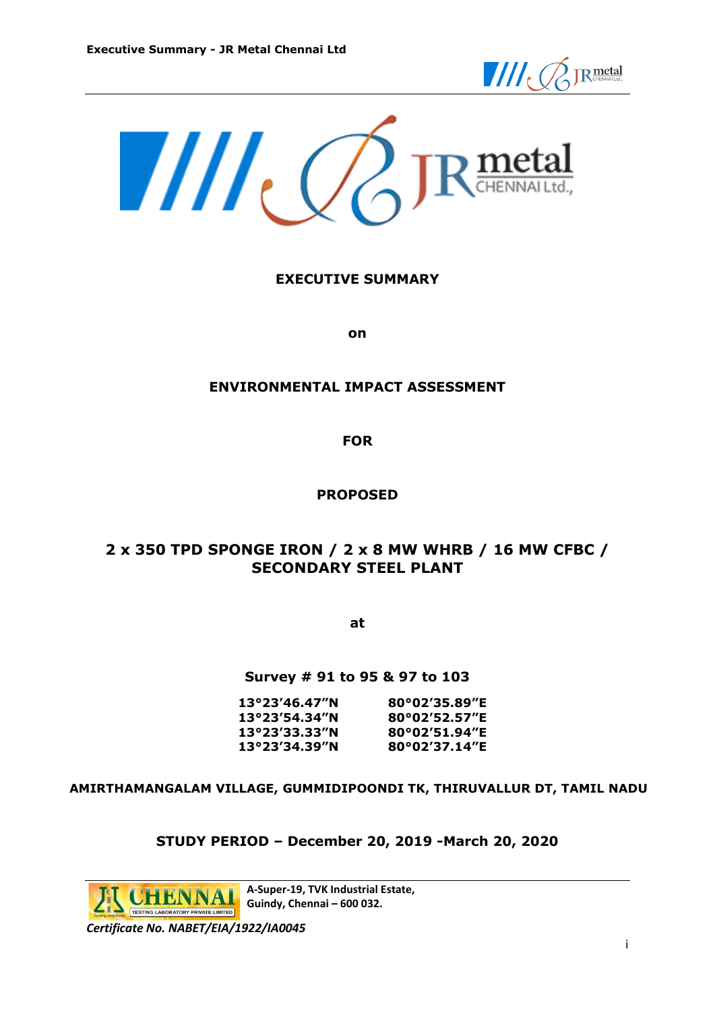



### **EXECUTIVE SUMMARY**

**on**

#### **ENVIRONMENTAL IMPACT ASSESSMENT**

**FOR**

#### **PROPOSED**

## **2 x 350 TPD SPONGE IRON / 2 x 8 MW WHRB / 16 MW CFBC / SECONDARY STEEL PLANT**

**at**

#### **Survey # 91 to 95 & 97 to 103**

| 80°02′35.89″E |
|---------------|
| 80°02′52.57″E |
| 80°02′51.94″E |
| 80°02′37.14″E |
|               |

#### **AMIRTHAMANGALAM VILLAGE, GUMMIDIPOONDI TK, THIRUVALLUR DT, TAMIL NADU**

#### **STUDY PERIOD – December 20, 2019 -March 20, 2020**

**A-Super-19, TVK Industrial Estate,**  HENNAI **Guindy, Chennai – 600 032.** LABORATORY PRIVATE LIMITED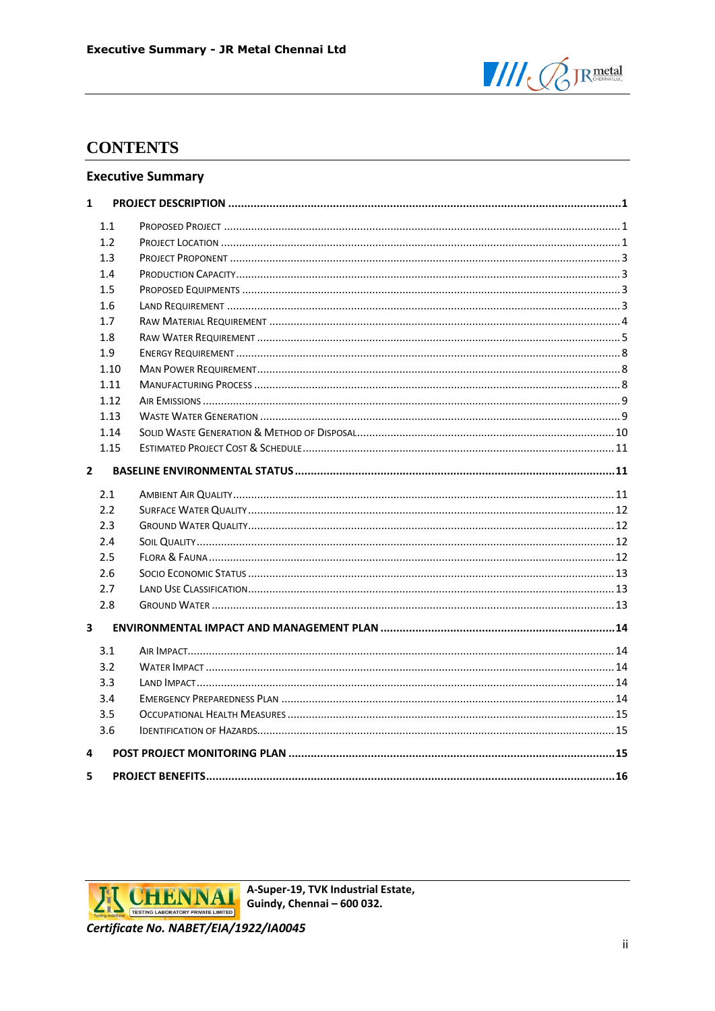

# **CONTENTS**

#### **Executive Summary**

| $\mathbf{1}$            |      |  |
|-------------------------|------|--|
|                         | 1.1  |  |
|                         | 1.2  |  |
|                         | 1.3  |  |
|                         | 1.4  |  |
|                         | 1.5  |  |
|                         | 1.6  |  |
|                         | 1.7  |  |
|                         | 1.8  |  |
|                         | 1.9  |  |
|                         | 1.10 |  |
|                         | 1.11 |  |
|                         | 1.12 |  |
|                         | 1.13 |  |
|                         | 1.14 |  |
|                         | 1.15 |  |
| $\overline{2}$          |      |  |
|                         | 2.1  |  |
|                         | 2.2  |  |
|                         | 2.3  |  |
|                         | 2.4  |  |
|                         | 2.5  |  |
|                         | 2.6  |  |
|                         | 2.7  |  |
|                         | 2.8  |  |
| $\overline{\mathbf{3}}$ |      |  |
|                         | 3.1  |  |
|                         | 3.2  |  |
|                         | 3.3  |  |
|                         | 3.4  |  |
|                         | 3.5  |  |
|                         | 3.6  |  |
| 4                       |      |  |
| 5                       |      |  |



A-Super-19, TVK Industrial Estate, Guindy, Chennai - 600 032.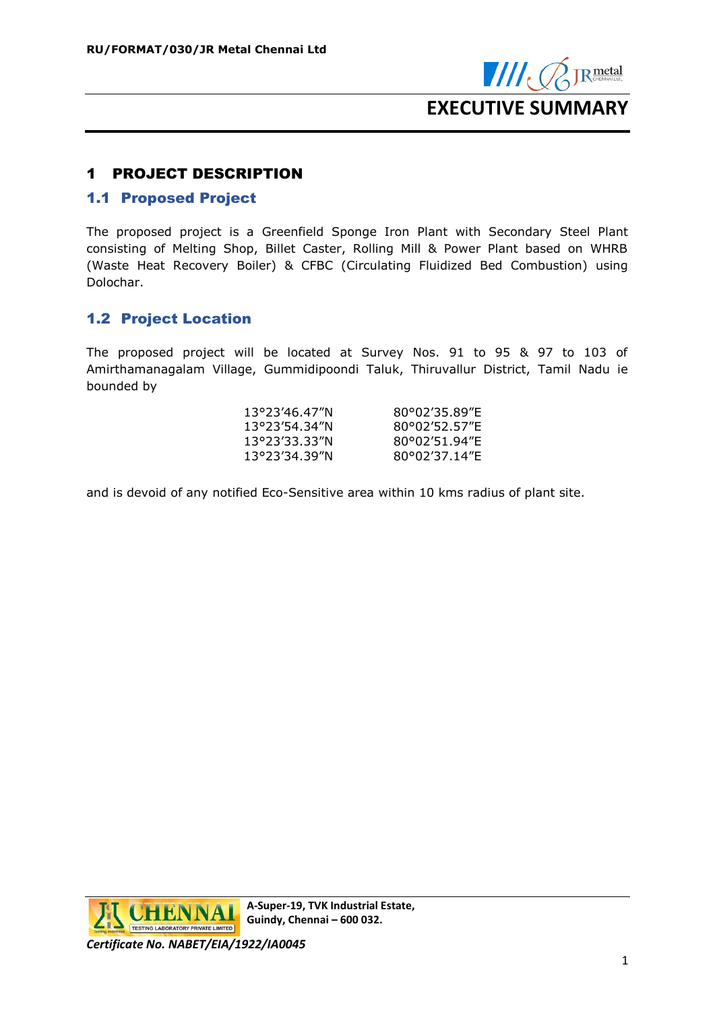

# <span id="page-2-0"></span>1 PROJECT DESCRIPTION

### <span id="page-2-1"></span>1.1 Proposed Project

The proposed project is a Greenfield Sponge Iron Plant with Secondary Steel Plant consisting of Melting Shop, Billet Caster, Rolling Mill & Power Plant based on WHRB (Waste Heat Recovery Boiler) & CFBC (Circulating Fluidized Bed Combustion) using Dolochar.

## <span id="page-2-2"></span>1.2 Project Location

The proposed project will be located at Survey Nos. 91 to 95 & 97 to 103 of Amirthamanagalam Village, Gummidipoondi Taluk, Thiruvallur District, Tamil Nadu ie bounded by

| 13°23′46.47″N | 80°02'35.89"E |
|---------------|---------------|
| 13°23′54.34″N | 80°02'52.57"E |
| 13°23′33.33″N | 80°02'51.94"E |
| 13°23′34.39″N | 80°02'37.14"F |
|               |               |

and is devoid of any notified Eco-Sensitive area within 10 kms radius of plant site.

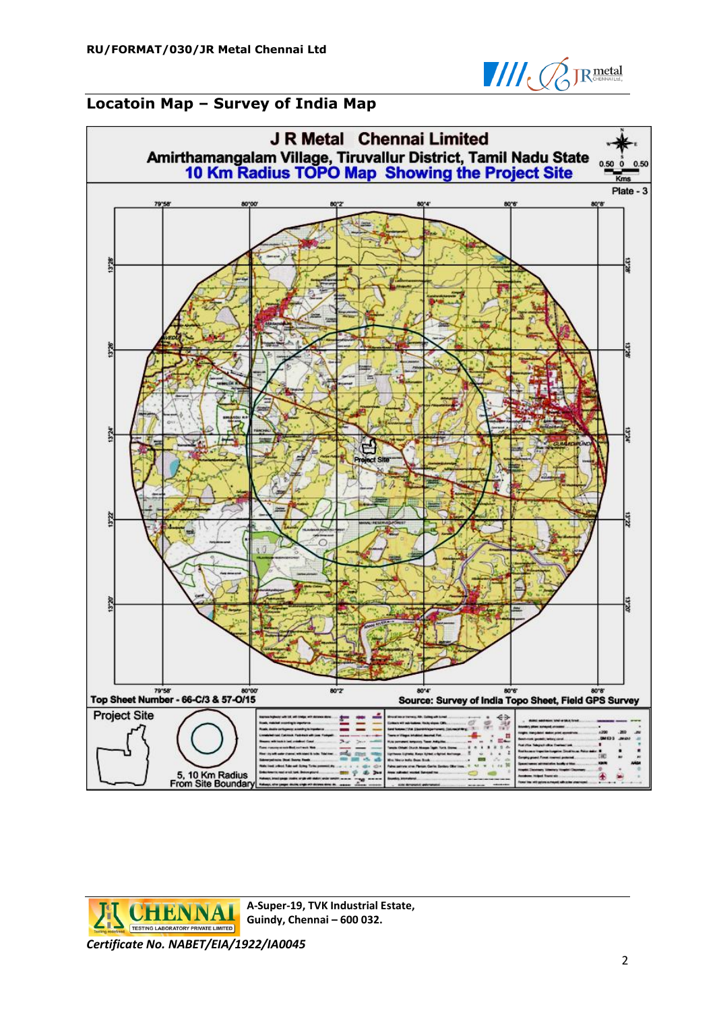

# **Locatoin Map – Survey of India Map**



**CHENNA** TESTING LABORATORY PRIVATE LIMITED

**A-Super-19, TVK Industrial Estate, Guindy, Chennai – 600 032.**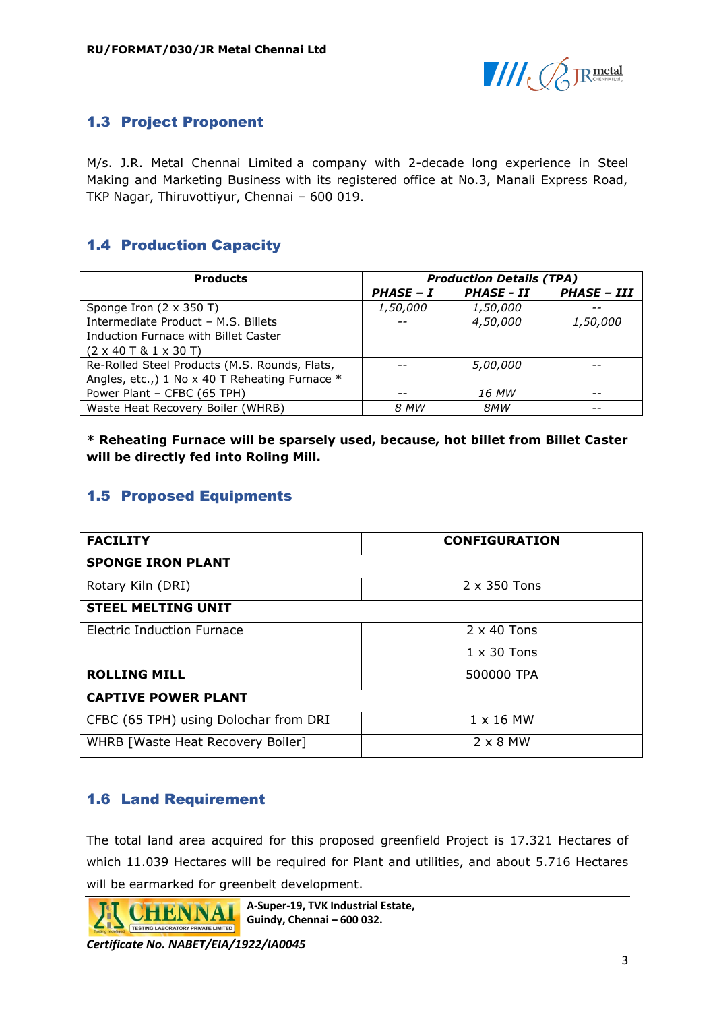

## <span id="page-4-0"></span>1.3 Project Proponent

M/s. J.R. Metal Chennai Limited a company with 2-decade long experience in Steel Making and Marketing Business with its registered office at No.3, Manali Express Road, TKP Nagar, Thiruvottiyur, Chennai – 600 019.

# <span id="page-4-1"></span>1.4 Production Capacity

| <b>Products</b>                                    | <b>Production Details (TPA)</b> |                   |                    |
|----------------------------------------------------|---------------------------------|-------------------|--------------------|
|                                                    | PHASE - I                       | <b>PHASE - II</b> | <b>PHASE - III</b> |
| Sponge Iron (2 x 350 T)                            | 1,50,000                        | 1,50,000          |                    |
| Intermediate Product - M.S. Billets                | $ -$                            | 4,50,000          | 1,50,000           |
| Induction Furnace with Billet Caster               |                                 |                   |                    |
| $(2 \times 40 \text{ T} \& 1 \times 30 \text{ T})$ |                                 |                   |                    |
| Re-Rolled Steel Products (M.S. Rounds, Flats,      |                                 | <i>5,00,000</i>   |                    |
| Angles, etc.,) 1 No x 40 T Reheating Furnace *     |                                 |                   |                    |
| Power Plant - CFBC (65 TPH)                        | $- -$                           | 16 MW             | $ -$               |
| Waste Heat Recovery Boiler (WHRB)                  | 8 MW                            | 8MW               |                    |

**\* Reheating Furnace will be sparsely used, because, hot billet from Billet Caster will be directly fed into Roling Mill.**

## <span id="page-4-2"></span>1.5 Proposed Equipments

| <b>FACILITY</b>                       | <b>CONFIGURATION</b> |  |
|---------------------------------------|----------------------|--|
| <b>SPONGE IRON PLANT</b>              |                      |  |
| Rotary Kiln (DRI)                     | 2 x 350 Tons         |  |
| <b>STEEL MELTING UNIT</b>             |                      |  |
| Electric Induction Furnace            | $2 \times 40$ Tons   |  |
|                                       | $1 \times 30$ Tons   |  |
| <b>ROLLING MILL</b><br>500000 TPA     |                      |  |
| <b>CAPTIVE POWER PLANT</b>            |                      |  |
| CFBC (65 TPH) using Dolochar from DRI | $1 \times 16$ MW     |  |
| WHRB [Waste Heat Recovery Boiler]     | $2 \times 8$ MW      |  |

## <span id="page-4-3"></span>1.6 Land Requirement

The total land area acquired for this proposed greenfield Project is 17.321 Hectares of which 11.039 Hectares will be required for Plant and utilities, and about 5.716 Hectares will be earmarked for greenbelt development.

**A-Super-19, TVK Industrial Estate,**  HENN **Guindy, Chennai – 600 032.** TESTING LABORATORY PRIVATE LIMITED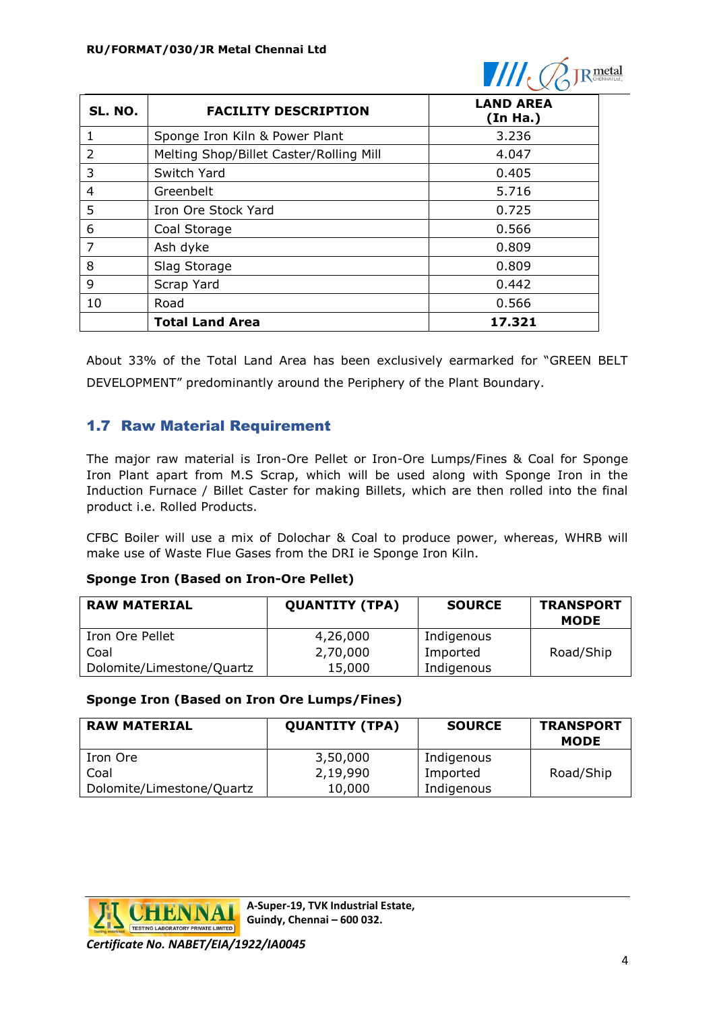

| SL. NO. | <b>FACILITY DESCRIPTION</b>             | <b>LAND AREA</b><br>(In Ha.) |
|---------|-----------------------------------------|------------------------------|
| 1       | Sponge Iron Kiln & Power Plant          | 3.236                        |
| 2       | Melting Shop/Billet Caster/Rolling Mill | 4.047                        |
| 3       | Switch Yard                             | 0.405                        |
| 4       | Greenbelt                               | 5.716                        |
| 5       | Iron Ore Stock Yard                     | 0.725                        |
| 6       | Coal Storage                            | 0.566                        |
| 7       | Ash dyke                                | 0.809                        |
| 8       | Slag Storage                            | 0.809                        |
| 9       | Scrap Yard                              | 0.442                        |
| 10      | Road                                    | 0.566                        |
|         | <b>Total Land Area</b>                  | 17.321                       |

About 33% of the Total Land Area has been exclusively earmarked for "GREEN BELT DEVELOPMENT" predominantly around the Periphery of the Plant Boundary.

## <span id="page-5-0"></span>1.7 Raw Material Requirement

The major raw material is Iron-Ore Pellet or Iron-Ore Lumps/Fines & Coal for Sponge Iron Plant apart from M.S Scrap, which will be used along with Sponge Iron in the Induction Furnace / Billet Caster for making Billets, which are then rolled into the final product i.e. Rolled Products.

CFBC Boiler will use a mix of Dolochar & Coal to produce power, whereas, WHRB will make use of Waste Flue Gases from the DRI ie Sponge Iron Kiln.

#### **Sponge Iron (Based on Iron-Ore Pellet)**

| <b>RAW MATERIAL</b>       | <b>QUANTITY (TPA)</b> | <b>SOURCE</b> | <b>TRANSPORT</b><br><b>MODE</b> |
|---------------------------|-----------------------|---------------|---------------------------------|
| Iron Ore Pellet           | 4,26,000              | Indigenous    |                                 |
| Coal                      | 2,70,000              | Imported      | Road/Ship                       |
| Dolomite/Limestone/Quartz | 15,000                | Indigenous    |                                 |

#### **Sponge Iron (Based on Iron Ore Lumps/Fines)**

| <b>RAW MATERIAL</b>       | <b>QUANTITY (TPA)</b> | <b>SOURCE</b> | <b>TRANSPORT</b><br><b>MODE</b> |
|---------------------------|-----------------------|---------------|---------------------------------|
| Iron Ore                  | 3,50,000              | Indigenous    |                                 |
| Coal                      | 2,19,990              | Imported      | Road/Ship                       |
| Dolomite/Limestone/Quartz | 10,000                | Indigenous    |                                 |



**A-Super-19, TVK Industrial Estate, Guindy, Chennai – 600 032.**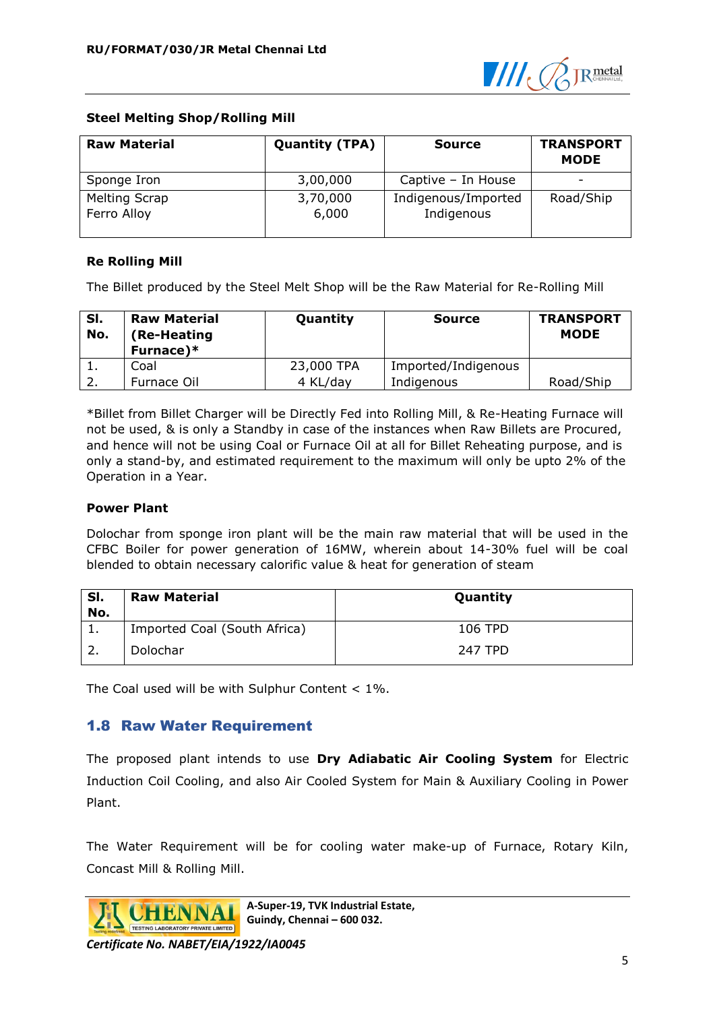

### **Steel Melting Shop/Rolling Mill**

| <b>Raw Material</b>                 | <b>Quantity (TPA)</b> | <b>Source</b>                     | <b>TRANSPORT</b><br><b>MODE</b> |
|-------------------------------------|-----------------------|-----------------------------------|---------------------------------|
| Sponge Iron                         | 3,00,000              | Captive - In House                | $\overline{\phantom{0}}$        |
| <b>Melting Scrap</b><br>Ferro Alloy | 3,70,000<br>6,000     | Indigenous/Imported<br>Indigenous | Road/Ship                       |

### **Re Rolling Mill**

The Billet produced by the Steel Melt Shop will be the Raw Material for Re-Rolling Mill

| SI.<br>No. | <b>Raw Material</b><br>(Re-Heating<br>Furnace)* | Quantity   | <b>Source</b>       | <b>TRANSPORT</b><br><b>MODE</b> |
|------------|-------------------------------------------------|------------|---------------------|---------------------------------|
|            | Coal                                            | 23,000 TPA | Imported/Indigenous |                                 |
|            | Furnace Oil                                     | 4 KL/day   | Indigenous          | Road/Ship                       |

\*Billet from Billet Charger will be Directly Fed into Rolling Mill, & Re-Heating Furnace will not be used, & is only a Standby in case of the instances when Raw Billets are Procured, and hence will not be using Coal or Furnace Oil at all for Billet Reheating purpose, and is only a stand-by, and estimated requirement to the maximum will only be upto 2% of the Operation in a Year.

#### **Power Plant**

Dolochar from sponge iron plant will be the main raw material that will be used in the CFBC Boiler for power generation of 16MW, wherein about 14-30% fuel will be coal blended to obtain necessary calorific value & heat for generation of steam

| SI.<br>No. | <b>Raw Material</b>          | Quantity       |
|------------|------------------------------|----------------|
| ı.         | Imported Coal (South Africa) | 106 TPD        |
|            | Dolochar                     | <b>247 TPD</b> |

The Coal used will be with Sulphur Content < 1%.

### <span id="page-6-0"></span>1.8 Raw Water Requirement

The proposed plant intends to use **Dry Adiabatic Air Cooling System** for Electric Induction Coil Cooling, and also Air Cooled System for Main & Auxiliary Cooling in Power Plant.

The Water Requirement will be for cooling water make-up of Furnace, Rotary Kiln, Concast Mill & Rolling Mill.



**A-Super-19, TVK Industrial Estate, Guindy, Chennai – 600 032.**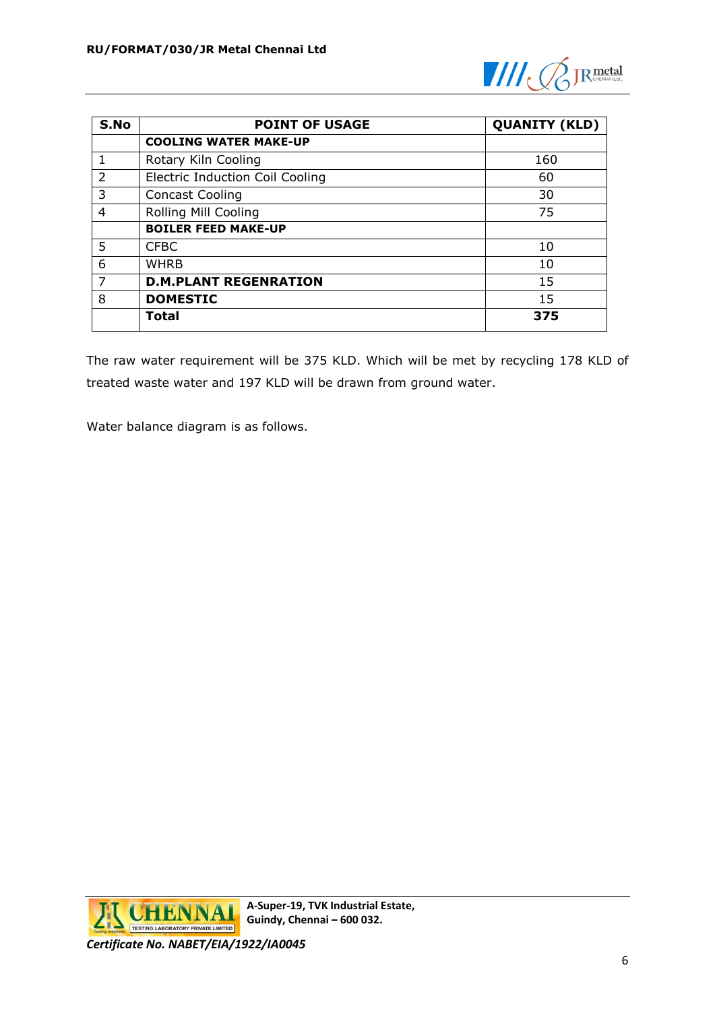

| S.No           | <b>POINT OF USAGE</b>                  | <b>QUANITY (KLD)</b> |
|----------------|----------------------------------------|----------------------|
|                | <b>COOLING WATER MAKE-UP</b>           |                      |
|                | Rotary Kiln Cooling                    | 160                  |
| $\overline{2}$ | <b>Electric Induction Coil Cooling</b> | 60                   |
| 3              | <b>Concast Cooling</b>                 | 30                   |
| 4              | Rolling Mill Cooling                   | 75                   |
|                | <b>BOILER FEED MAKE-UP</b>             |                      |
| 5              | <b>CFBC</b>                            | 10                   |
| 6              | <b>WHRB</b>                            | 10                   |
| 7              | <b>D.M.PLANT REGENRATION</b>           | 15                   |
| 8              | <b>DOMESTIC</b>                        | 15                   |
|                | <b>Total</b>                           | 375                  |

The raw water requirement will be 375 KLD. Which will be met by recycling 178 KLD of treated waste water and 197 KLD will be drawn from ground water.

Water balance diagram is as follows.

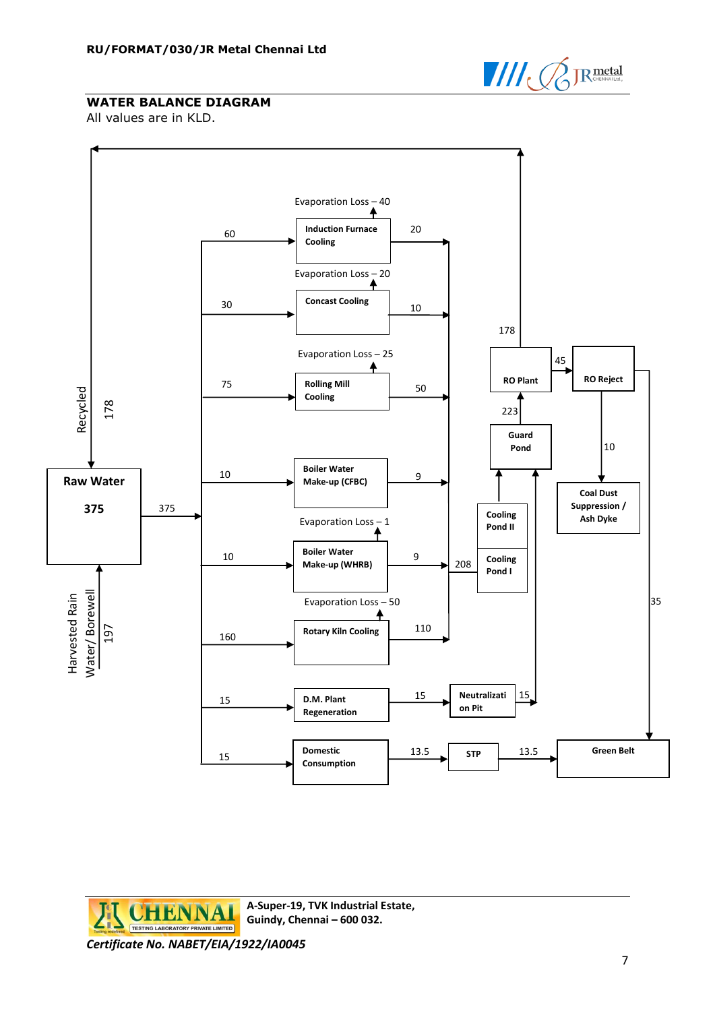

### **WATER BALANCE DIAGRAM**

All values are in KLD.



**A-Super-19, TVK Industrial Estate, CHENNA Guindy, Chennai – 600 032.** TESTING LABORATORY PRIVATE LIMITED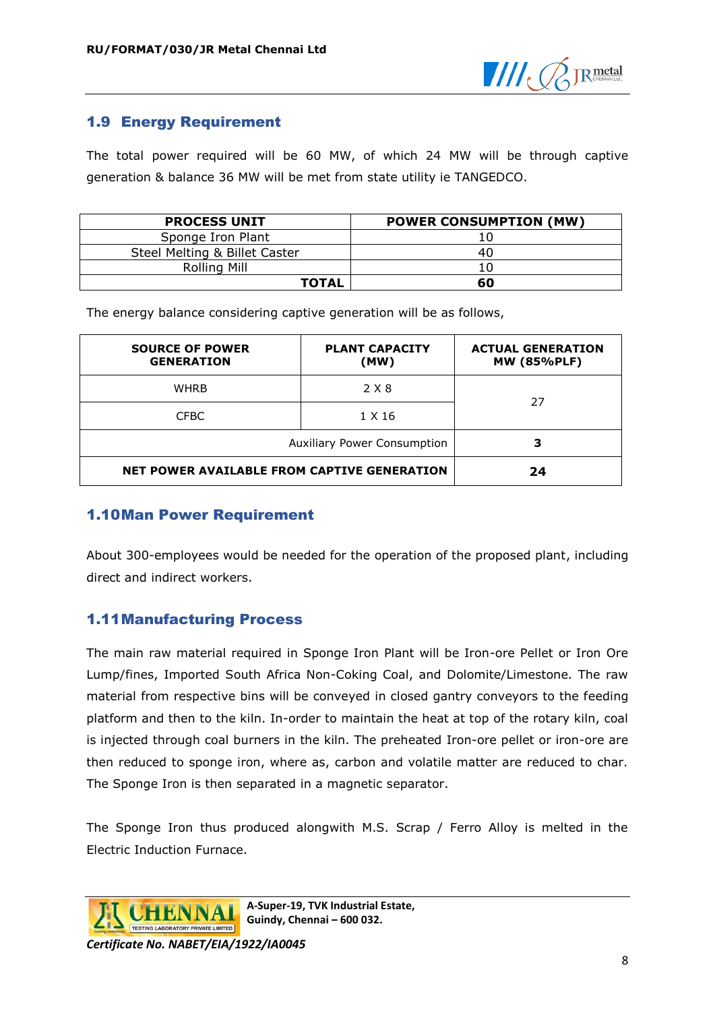

### <span id="page-9-0"></span>1.9 Energy Requirement

The total power required will be 60 MW, of which 24 MW will be through captive generation & balance 36 MW will be met from state utility ie TANGEDCO.

| <b>PROCESS UNIT</b>           | <b>POWER CONSUMPTION (MW)</b> |
|-------------------------------|-------------------------------|
| Sponge Iron Plant             |                               |
| Steel Melting & Billet Caster | 40                            |
| Rolling Mill                  |                               |
| <b>TOTAL</b>                  | 60                            |

The energy balance considering captive generation will be as follows,

| <b>SOURCE OF POWER</b><br><b>GENERATION</b>        | <b>PLANT CAPACITY</b><br>(MW) | <b>ACTUAL GENERATION</b><br><b>MW (85%PLF)</b> |  |
|----------------------------------------------------|-------------------------------|------------------------------------------------|--|
| <b>WHRB</b>                                        | 2 X 8                         | 27                                             |  |
| <b>CFBC</b>                                        | 1 X 16                        |                                                |  |
| <b>Auxiliary Power Consumption</b>                 |                               |                                                |  |
| <b>NET POWER AVAILABLE FROM CAPTIVE GENERATION</b> |                               | 24                                             |  |

### <span id="page-9-1"></span>1.10Man Power Requirement

About 300-employees would be needed for the operation of the proposed plant, including direct and indirect workers.

## <span id="page-9-2"></span>1.11Manufacturing Process

The main raw material required in Sponge Iron Plant will be Iron-ore Pellet or Iron Ore Lump/fines, Imported South Africa Non-Coking Coal, and Dolomite/Limestone. The raw material from respective bins will be conveyed in closed gantry conveyors to the feeding platform and then to the kiln. In-order to maintain the heat at top of the rotary kiln, coal is injected through coal burners in the kiln. The preheated Iron-ore pellet or iron-ore are then reduced to sponge iron, where as, carbon and volatile matter are reduced to char. The Sponge Iron is then separated in a magnetic separator.

The Sponge Iron thus produced alongwith M.S. Scrap / Ferro Alloy is melted in the Electric Induction Furnace.



**A-Super-19, TVK Industrial Estate, Guindy, Chennai – 600 032.**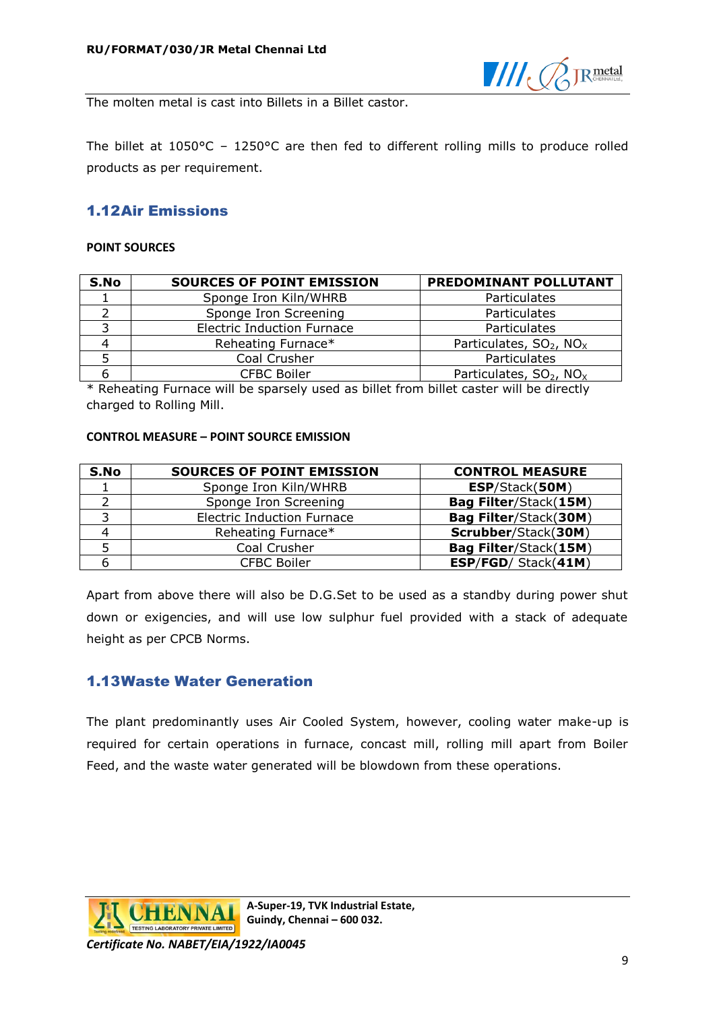

The molten metal is cast into Billets in a Billet castor.

The billet at 1050°C – 1250°C are then fed to different rolling mills to produce rolled products as per requirement.

## <span id="page-10-0"></span>1.12Air Emissions

#### **POINT SOURCES**

| S.No | <b>SOURCES OF POINT EMISSION</b>      | PREDOMINANT POLLUTANT                           |
|------|---------------------------------------|-------------------------------------------------|
|      | Sponge Iron Kiln/WHRB<br>Particulates |                                                 |
|      | Sponge Iron Screening                 | Particulates                                    |
|      | <b>Electric Induction Furnace</b>     | Particulates                                    |
|      | Reheating Furnace*                    | Particulates, $SO_2$ , $NOx$                    |
|      | Coal Crusher                          | Particulates                                    |
|      | <b>CFBC Boiler</b>                    | Particulates, SO <sub>2</sub> , NO <sub>x</sub> |

\* Reheating Furnace will be sparsely used as billet from billet caster will be directly charged to Rolling Mill.

#### **CONTROL MEASURE – POINT SOURCE EMISSION**

| S.No | <b>SOURCES OF POINT EMISSION</b>  | <b>CONTROL MEASURE</b> |
|------|-----------------------------------|------------------------|
|      | Sponge Iron Kiln/WHRB             | ESP/Stack(50M)         |
|      | Sponge Iron Screening             | Bag Filter/Stack(15M)  |
|      | <b>Electric Induction Furnace</b> | Bag Filter/Stack(30M)  |
|      | Reheating Furnace*                | Scrubber/Stack(30M)    |
|      | Coal Crusher                      | Bag Filter/Stack(15M)  |
|      | <b>CFBC Boiler</b>                | ESP/FGD/ Stack(41M)    |

Apart from above there will also be D.G.Set to be used as a standby during power shut down or exigencies, and will use low sulphur fuel provided with a stack of adequate height as per CPCB Norms.

### <span id="page-10-1"></span>1.13Waste Water Generation

The plant predominantly uses Air Cooled System, however, cooling water make-up is required for certain operations in furnace, concast mill, rolling mill apart from Boiler Feed, and the waste water generated will be blowdown from these operations.

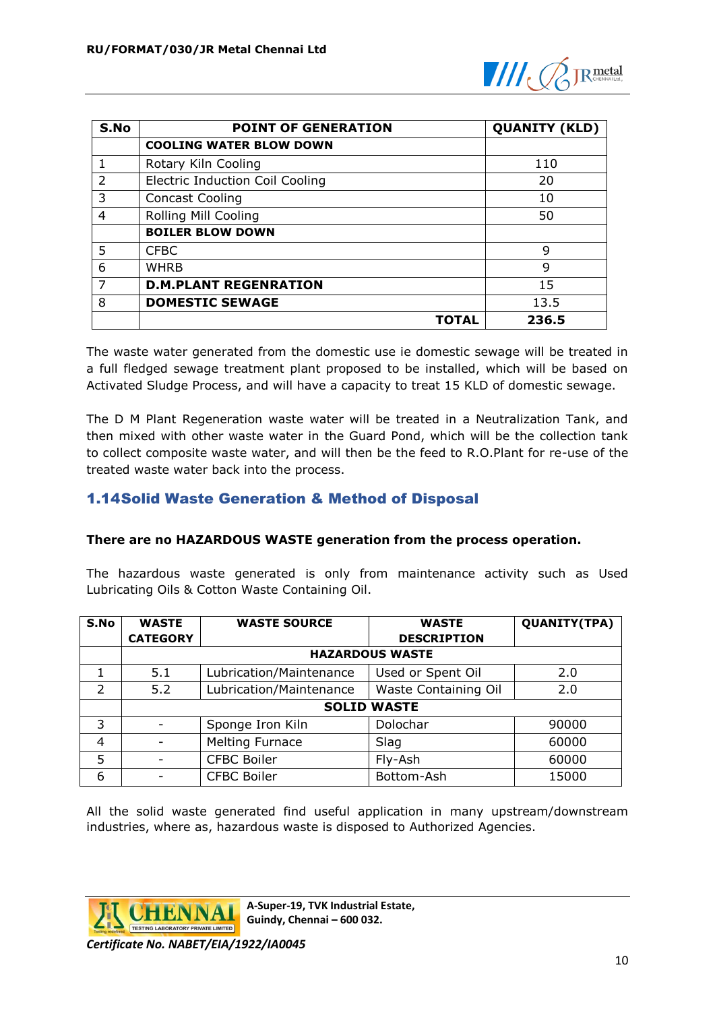

| S.No           | <b>POINT OF GENERATION</b>             | <b>QUANITY (KLD)</b> |
|----------------|----------------------------------------|----------------------|
|                | <b>COOLING WATER BLOW DOWN</b>         |                      |
|                | Rotary Kiln Cooling                    | 110                  |
| $\overline{2}$ | <b>Electric Induction Coil Cooling</b> | 20                   |
| 3              | <b>Concast Cooling</b>                 | 10                   |
| 4              | Rolling Mill Cooling                   | 50                   |
|                | <b>BOILER BLOW DOWN</b>                |                      |
| 5              | <b>CFBC</b>                            | 9                    |
| 6              | <b>WHRB</b>                            | 9                    |
|                | <b>D.M.PLANT REGENRATION</b>           | 15                   |
| 8              | <b>DOMESTIC SEWAGE</b>                 | 13.5                 |
|                | TOTAL                                  | 236.5                |

The waste water generated from the domestic use ie domestic sewage will be treated in a full fledged sewage treatment plant proposed to be installed, which will be based on Activated Sludge Process, and will have a capacity to treat 15 KLD of domestic sewage.

The D M Plant Regeneration waste water will be treated in a Neutralization Tank, and then mixed with other waste water in the Guard Pond, which will be the collection tank to collect composite waste water, and will then be the feed to R.O.Plant for re-use of the treated waste water back into the process.

## <span id="page-11-0"></span>1.14Solid Waste Generation & Method of Disposal

#### **There are no HAZARDOUS WASTE generation from the process operation.**

The hazardous waste generated is only from maintenance activity such as Used Lubricating Oils & Cotton Waste Containing Oil.

| S.No          | <b>WASTE</b>           | <b>WASTE SOURCE</b>     | <b>WASTE</b>         | <b>QUANITY(TPA)</b> |  |
|---------------|------------------------|-------------------------|----------------------|---------------------|--|
|               | <b>CATEGORY</b>        |                         | <b>DESCRIPTION</b>   |                     |  |
|               | <b>HAZARDOUS WASTE</b> |                         |                      |                     |  |
|               | 5.1                    | Lubrication/Maintenance | Used or Spent Oil    | 2.0                 |  |
| $\mathcal{P}$ | 5.2                    | Lubrication/Maintenance | Waste Containing Oil | 2.0                 |  |
|               | <b>SOLID WASTE</b>     |                         |                      |                     |  |
| 3             |                        | Sponge Iron Kiln        | Dolochar             | 90000               |  |
| 4             |                        | <b>Melting Furnace</b>  | Slag                 | 60000               |  |
| 5             |                        | <b>CFBC Boiler</b>      | Fly-Ash              | 60000               |  |
| 6             |                        | <b>CFBC Boiler</b>      | Bottom-Ash           | 15000               |  |

All the solid waste generated find useful application in many upstream/downstream industries, where as, hazardous waste is disposed to Authorized Agencies.



**A-Super-19, TVK Industrial Estate, Guindy, Chennai – 600 032.**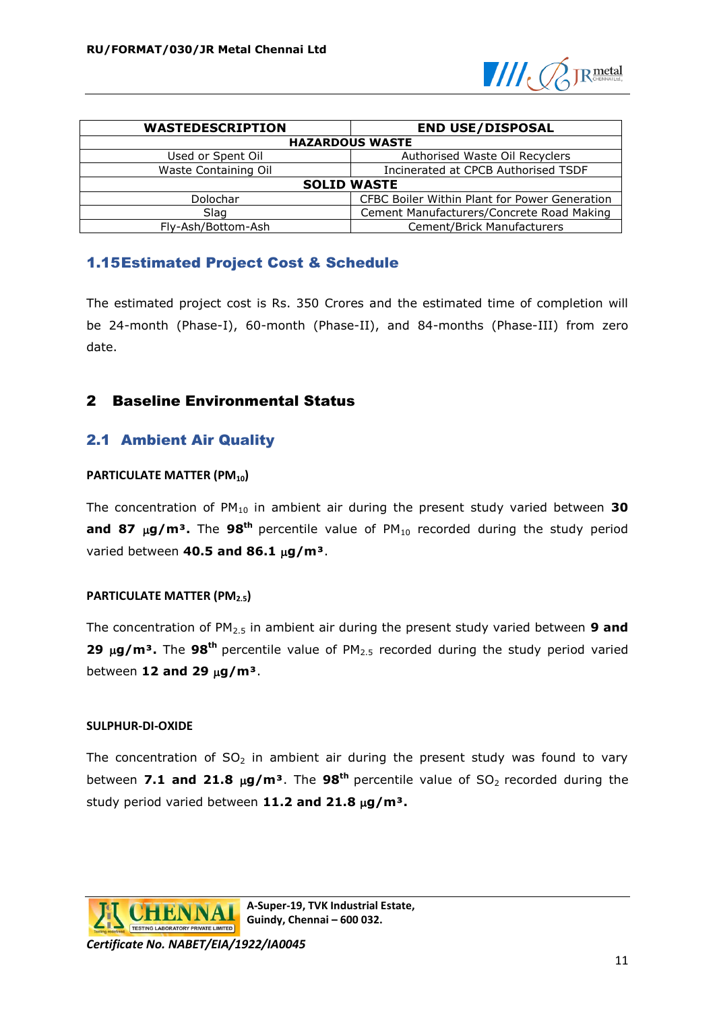

| <b>WASTEDESCRIPTION</b>                          | <b>END USE/DISPOSAL</b>                       |  |  |
|--------------------------------------------------|-----------------------------------------------|--|--|
| <b>HAZARDOUS WASTE</b>                           |                                               |  |  |
| Used or Spent Oil                                | Authorised Waste Oil Recyclers                |  |  |
| Waste Containing Oil                             | Incinerated at CPCB Authorised TSDF           |  |  |
| <b>SOLID WASTE</b>                               |                                               |  |  |
| Dolochar                                         | CFBC Boiler Within Plant for Power Generation |  |  |
| Slag                                             | Cement Manufacturers/Concrete Road Making     |  |  |
| Cement/Brick Manufacturers<br>Fly-Ash/Bottom-Ash |                                               |  |  |

## <span id="page-12-0"></span>1.15Estimated Project Cost & Schedule

The estimated project cost is Rs. 350 Crores and the estimated time of completion will be 24-month (Phase-I), 60-month (Phase-II), and 84-months (Phase-III) from zero date.

### <span id="page-12-1"></span>2 Baseline Environmental Status

## <span id="page-12-2"></span>2.1 Ambient Air Quality

#### **PARTICULATE MATTER (PM10)**

The concentration of PM<sub>10</sub> in ambient air during the present study varied between 30 and 87 µg/m<sup>3</sup>. The 98<sup>th</sup> percentile value of PM<sub>10</sub> recorded during the study period varied between **40.5 and 86.1 g/m³**.

#### **PARTICULATE MATTER (PM2.5)**

The concentration of PM2.5 in ambient air during the present study varied between **9 and 29 μg/m<sup>3</sup>.** The 98<sup>th</sup> percentile value of PM<sub>2.5</sub> recorded during the study period varied between **12 and 29 g/m³**.

#### **SULPHUR-DI-OXIDE**

The concentration of  $SO_2$  in ambient air during the present study was found to vary between **7.1 and 21.8**  $\mu$ **g/m<sup>3</sup>**. The **98<sup>th</sup>** percentile value of SO<sub>2</sub> recorded during the study period varied between 11.2 and 21.8  $\mu$ g/m<sup>3</sup>.

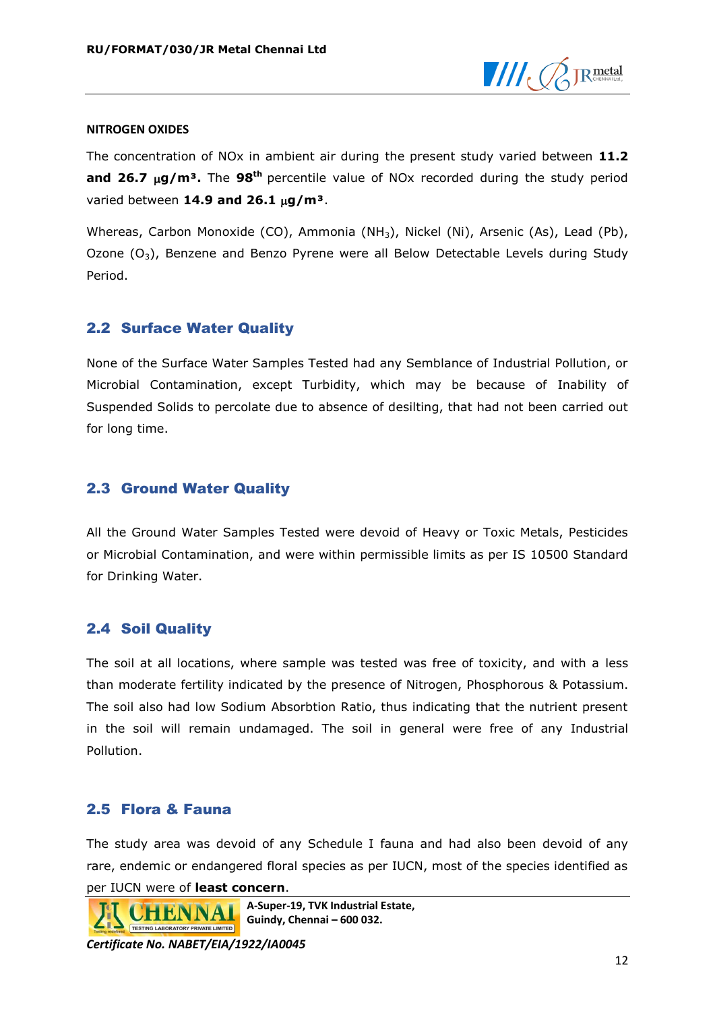

#### **NITROGEN OXIDES**

The concentration of NOx in ambient air during the present study varied between **11.2 and 26.7 g/m³.** The **98th** percentile value of NOx recorded during the study period varied between **14.9 and 26.1 g/m³**.

Whereas, Carbon Monoxide (CO), Ammonia (NH3), Nickel (Ni), Arsenic (As), Lead (Pb), Ozone  $(O_3)$ , Benzene and Benzo Pyrene were all Below Detectable Levels during Study Period.

### <span id="page-13-0"></span>2.2 Surface Water Quality

None of the Surface Water Samples Tested had any Semblance of Industrial Pollution, or Microbial Contamination, except Turbidity, which may be because of Inability of Suspended Solids to percolate due to absence of desilting, that had not been carried out for long time.

### <span id="page-13-1"></span>2.3 Ground Water Quality

All the Ground Water Samples Tested were devoid of Heavy or Toxic Metals, Pesticides or Microbial Contamination, and were within permissible limits as per IS 10500 Standard for Drinking Water.

## <span id="page-13-2"></span>2.4 Soil Quality

The soil at all locations, where sample was tested was free of toxicity, and with a less than moderate fertility indicated by the presence of Nitrogen, Phosphorous & Potassium. The soil also had low Sodium Absorbtion Ratio, thus indicating that the nutrient present in the soil will remain undamaged. The soil in general were free of any Industrial Pollution.

### <span id="page-13-3"></span>2.5 Flora & Fauna

The study area was devoid of any Schedule I fauna and had also been devoid of any rare, endemic or endangered floral species as per IUCN, most of the species identified as per IUCN were of **least concern**.

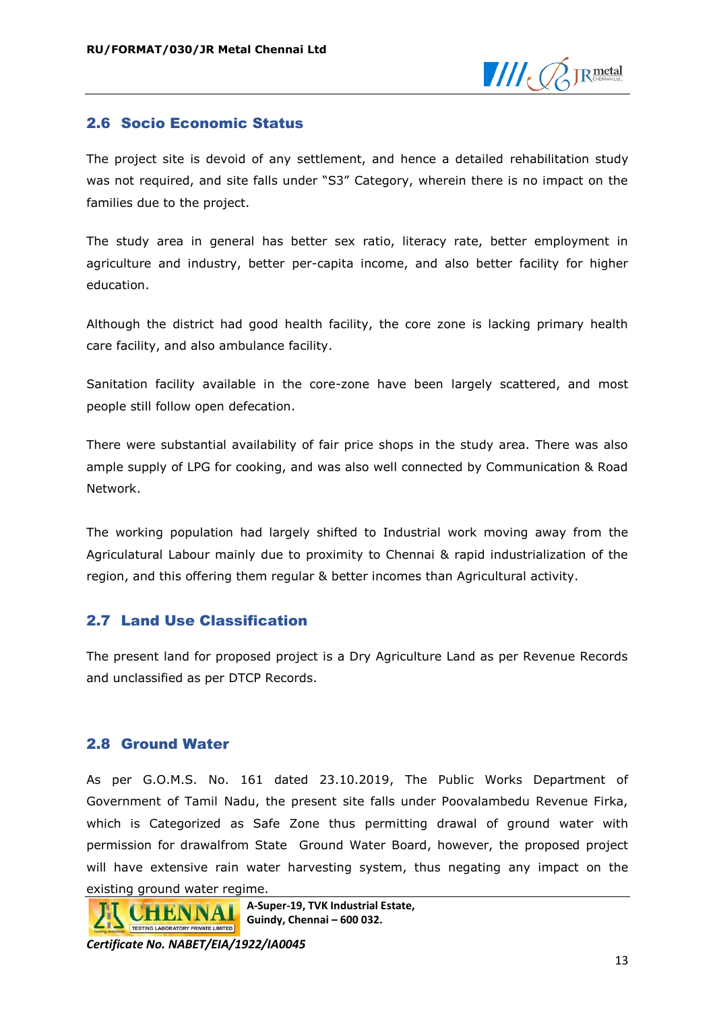

### <span id="page-14-0"></span>2.6 Socio Economic Status

The project site is devoid of any settlement, and hence a detailed rehabilitation study was not required, and site falls under "S3" Category, wherein there is no impact on the families due to the project.

The study area in general has better sex ratio, literacy rate, better employment in agriculture and industry, better per-capita income, and also better facility for higher education.

Although the district had good health facility, the core zone is lacking primary health care facility, and also ambulance facility.

Sanitation facility available in the core-zone have been largely scattered, and most people still follow open defecation.

There were substantial availability of fair price shops in the study area. There was also ample supply of LPG for cooking, and was also well connected by Communication & Road Network.

The working population had largely shifted to Industrial work moving away from the Agriculatural Labour mainly due to proximity to Chennai & rapid industrialization of the region, and this offering them regular & better incomes than Agricultural activity.

#### <span id="page-14-1"></span>2.7 Land Use Classification

The present land for proposed project is a Dry Agriculture Land as per Revenue Records and unclassified as per DTCP Records.

#### <span id="page-14-2"></span>2.8 Ground Water

As per G.O.M.S. No. 161 dated 23.10.2019, The Public Works Department of Government of Tamil Nadu, the present site falls under Poovalambedu Revenue Firka, which is Categorized as Safe Zone thus permitting drawal of ground water with permission for drawalfrom State Ground Water Board, however, the proposed project will have extensive rain water harvesting system, thus negating any impact on the existing ground water regime.



**A-Super-19, TVK Industrial Estate, Guindy, Chennai – 600 032.**

**A**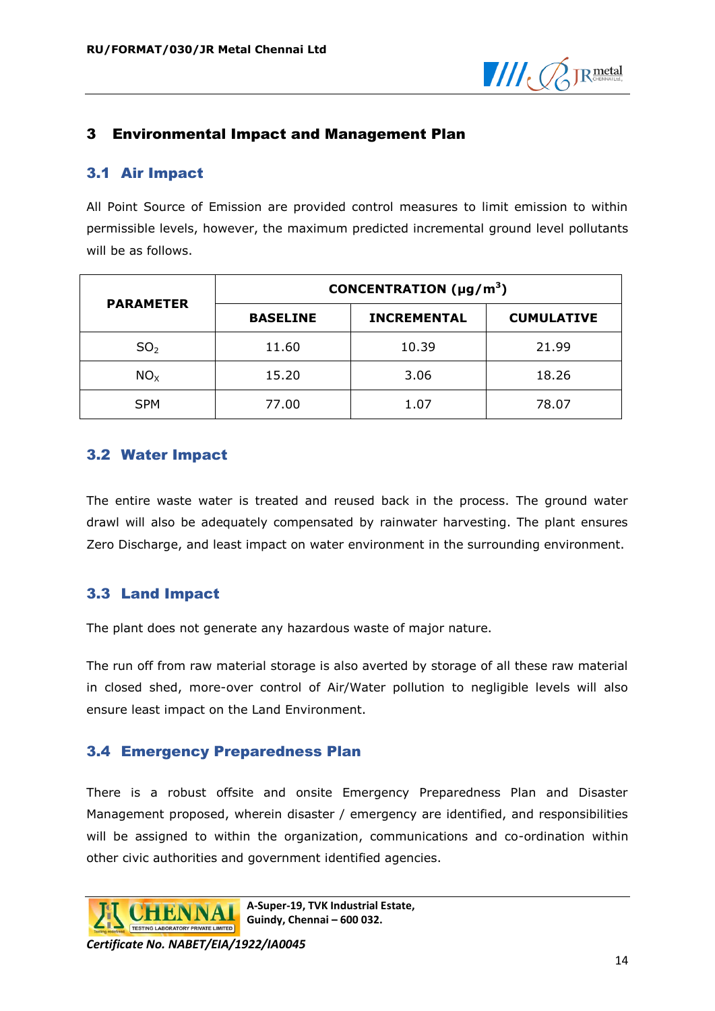

### <span id="page-15-0"></span>3 Environmental Impact and Management Plan

### <span id="page-15-1"></span>3.1 Air Impact

All Point Source of Emission are provided control measures to limit emission to within permissible levels, however, the maximum predicted incremental ground level pollutants will be as follows.

|                  | CONCENTRATION ( $\mu$ g/m <sup>3</sup> ) |                    |                   |
|------------------|------------------------------------------|--------------------|-------------------|
| <b>PARAMETER</b> | <b>BASELINE</b>                          | <b>INCREMENTAL</b> | <b>CUMULATIVE</b> |
| SO <sub>2</sub>  | 11.60                                    | 10.39              | 21.99             |
| NO <sub>x</sub>  | 15.20                                    | 3.06               | 18.26             |
| <b>SPM</b>       | 77.00                                    | 1.07               | 78.07             |

### <span id="page-15-2"></span>3.2 Water Impact

The entire waste water is treated and reused back in the process. The ground water drawl will also be adequately compensated by rainwater harvesting. The plant ensures Zero Discharge, and least impact on water environment in the surrounding environment.

## <span id="page-15-3"></span>3.3 Land Impact

The plant does not generate any hazardous waste of major nature.

The run off from raw material storage is also averted by storage of all these raw material in closed shed, more-over control of Air/Water pollution to negligible levels will also ensure least impact on the Land Environment.

### <span id="page-15-4"></span>3.4 Emergency Preparedness Plan

There is a robust offsite and onsite Emergency Preparedness Plan and Disaster Management proposed, wherein disaster / emergency are identified, and responsibilities will be assigned to within the organization, communications and co-ordination within other civic authorities and government identified agencies.

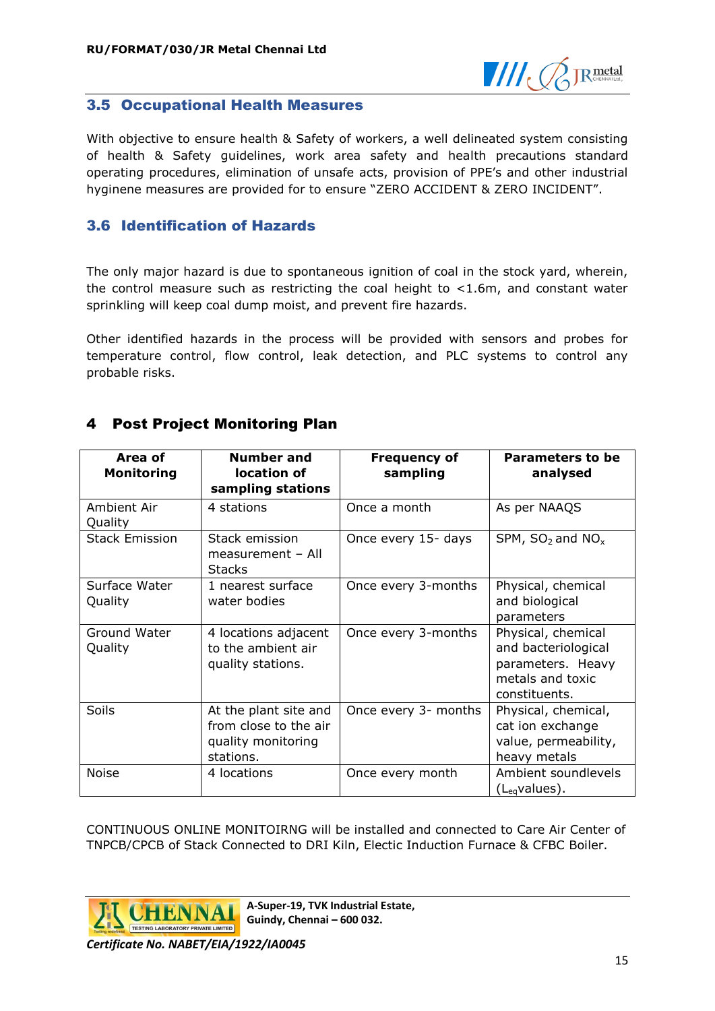

### <span id="page-16-0"></span>3.5 Occupational Health Measures

With objective to ensure health & Safety of workers, a well delineated system consisting of health & Safety guidelines, work area safety and health precautions standard operating procedures, elimination of unsafe acts, provision of PPE's and other industrial hyginene measures are provided for to ensure "ZERO ACCIDENT & ZERO INCIDENT".

### <span id="page-16-1"></span>3.6 Identification of Hazards

The only major hazard is due to spontaneous ignition of coal in the stock yard, wherein, the control measure such as restricting the coal height to <1.6m, and constant water sprinkling will keep coal dump moist, and prevent fire hazards.

Other identified hazards in the process will be provided with sensors and probes for temperature control, flow control, leak detection, and PLC systems to control any probable risks.

| Area of<br><b>Monitoring</b> | <b>Number and</b><br>location of<br>sampling stations                             | <b>Frequency of</b><br>sampling | Parameters to be<br>analysed                                                                        |
|------------------------------|-----------------------------------------------------------------------------------|---------------------------------|-----------------------------------------------------------------------------------------------------|
| Ambient Air<br>Quality       | 4 stations                                                                        | Once a month                    | As per NAAQS                                                                                        |
| <b>Stack Emission</b>        | Stack emission<br>measurement - All<br><b>Stacks</b>                              | Once every 15- days             | SPM, $SO_2$ and $NO_x$                                                                              |
| Surface Water<br>Quality     | 1 nearest surface<br>water bodies                                                 | Once every 3-months             | Physical, chemical<br>and biological<br>parameters                                                  |
| Ground Water<br>Quality      | 4 locations adjacent<br>to the ambient air<br>quality stations.                   | Once every 3-months             | Physical, chemical<br>and bacteriological<br>parameters. Heavy<br>metals and toxic<br>constituents. |
| Soils                        | At the plant site and<br>from close to the air<br>quality monitoring<br>stations. | Once every 3- months            | Physical, chemical,<br>cat ion exchange<br>value, permeability,<br>heavy metals                     |
| <b>Noise</b>                 | 4 locations                                                                       | Once every month                | Ambient soundlevels<br>$(L_{eq}$ values).                                                           |

# <span id="page-16-2"></span>4 Post Project Monitoring Plan

CONTINUOUS ONLINE MONITOIRNG will be installed and connected to Care Air Center of TNPCB/CPCB of Stack Connected to DRI Kiln, Electic Induction Furnace & CFBC Boiler.



**A-Super-19, TVK Industrial Estate, Guindy, Chennai – 600 032.**